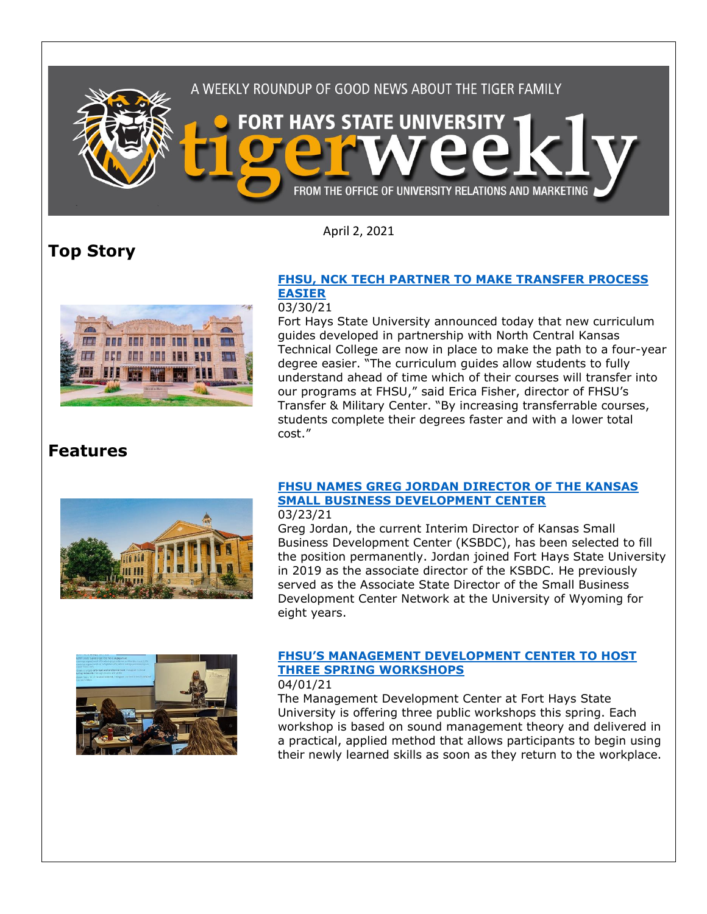

April 2, 2021

## **Top Story**



#### **[FHSU, NCK TECH PARTNER TO MAKE TRANSFER PROCESS](https://www.fhsu.edu/news/2021/03/fhsu,-nck-tech-partner-to-make-transfer-process-easier)  [EASIER](https://www.fhsu.edu/news/2021/03/fhsu,-nck-tech-partner-to-make-transfer-process-easier)**

#### 03/30/21

Fort Hays State University announced today that new curriculum guides developed in partnership with North Central Kansas Technical College are now in place to make the path to a four-year degree easier. "The curriculum guides allow students to fully understand ahead of time which of their courses will transfer into our programs at FHSU," said Erica Fisher, director of FHSU's Transfer & Military Center. "By increasing transferrable courses, students complete their degrees faster and with a lower total cost."

## **Features**



### **[FHSU NAMES GREG JORDAN DIRECTOR OF THE KANSAS](https://www.fhsu.edu/news/2021/03/fhsu-names-greg-jordan-director-of-the-kansas-small-business-development-center)  [SMALL BUSINESS DEVELOPMENT CENTER](https://www.fhsu.edu/news/2021/03/fhsu-names-greg-jordan-director-of-the-kansas-small-business-development-center)**

#### 03/23/21

Greg Jordan, the current Interim Director of Kansas Small Business Development Center (KSBDC), has been selected to fill the position permanently. Jordan joined Fort Hays State University in 2019 as the associate director of the KSBDC. He previously served as the Associate State Director of the Small Business Development Center Network at the University of Wyoming for eight years.



## **[FHSU'S MANAGEMENT DEVELOPMENT CENTER TO HOST](https://www.fhsu.edu/news/2021/03/fhsus-management-development-center-to-host-3-spring-workshops)  [THREE SPRING WORKSHOPS](https://www.fhsu.edu/news/2021/03/fhsus-management-development-center-to-host-3-spring-workshops)**

#### 04/01/21

The Management Development Center at Fort Hays State University is offering three public workshops this spring. Each workshop is based on sound management theory and delivered in a practical, applied method that allows participants to begin using their newly learned skills as soon as they return to the workplace.